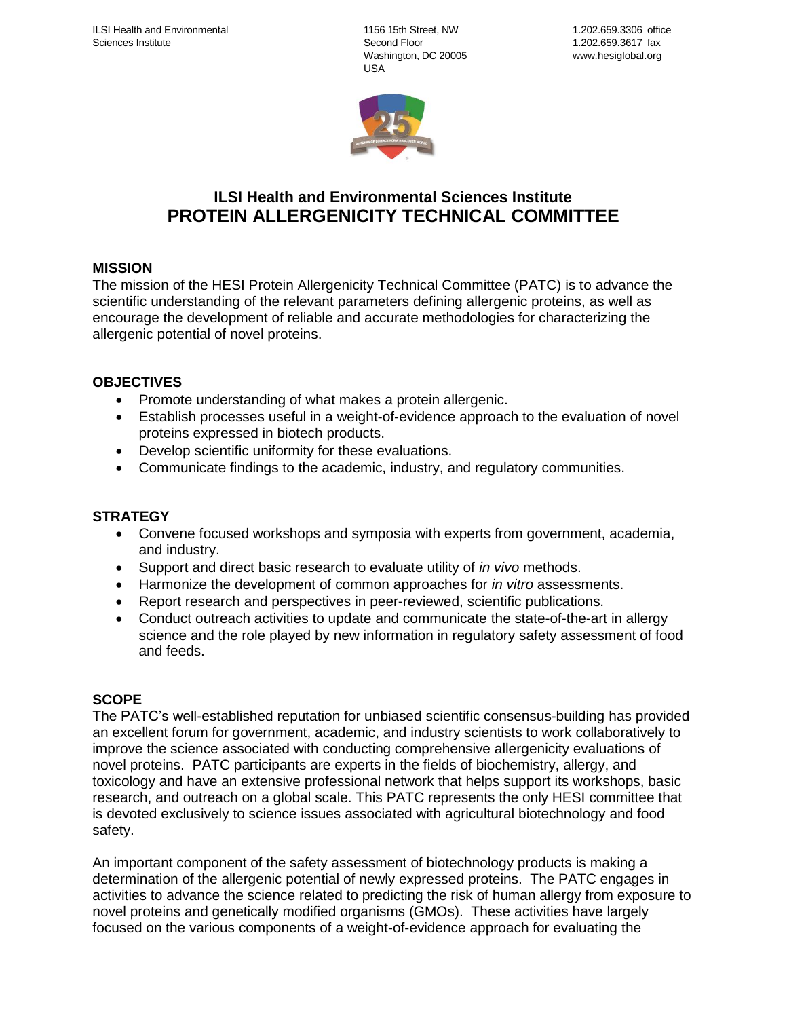1156 15th Street, NW Second Floor Washington, DC 20005 USA



# **ILSI Health and Environmental Sciences Institute PROTEIN ALLERGENICITY TECHNICAL COMMITTEE**

# **MISSION**

The mission of the HESI Protein Allergenicity Technical Committee (PATC) is to advance the scientific understanding of the relevant parameters defining allergenic proteins, as well as encourage the development of reliable and accurate methodologies for characterizing the allergenic potential of novel proteins.

### **OBJECTIVES**

- Promote understanding of what makes a protein allergenic.
- Establish processes useful in a weight-of-evidence approach to the evaluation of novel proteins expressed in biotech products.
- Develop scientific uniformity for these evaluations.
- Communicate findings to the academic, industry, and regulatory communities.

# **STRATEGY**

- Convene focused workshops and symposia with experts from government, academia, and industry.
- Support and direct basic research to evaluate utility of *in vivo* methods.
- Harmonize the development of common approaches for *in vitro* assessments.
- Report research and perspectives in peer-reviewed, scientific publications.
- Conduct outreach activities to update and communicate the state-of-the-art in allergy science and the role played by new information in regulatory safety assessment of food and feeds.

# **SCOPE**

The PATC's well-established reputation for unbiased scientific consensus-building has provided an excellent forum for government, academic, and industry scientists to work collaboratively to improve the science associated with conducting comprehensive allergenicity evaluations of novel proteins. PATC participants are experts in the fields of biochemistry, allergy, and toxicology and have an extensive professional network that helps support its workshops, basic research, and outreach on a global scale. This PATC represents the only HESI committee that is devoted exclusively to science issues associated with agricultural biotechnology and food safety.

An important component of the safety assessment of biotechnology products is making a determination of the allergenic potential of newly expressed proteins. The PATC engages in activities to advance the science related to predicting the risk of human allergy from exposure to novel proteins and genetically modified organisms (GMOs). These activities have largely focused on the various components of a weight-of-evidence approach for evaluating the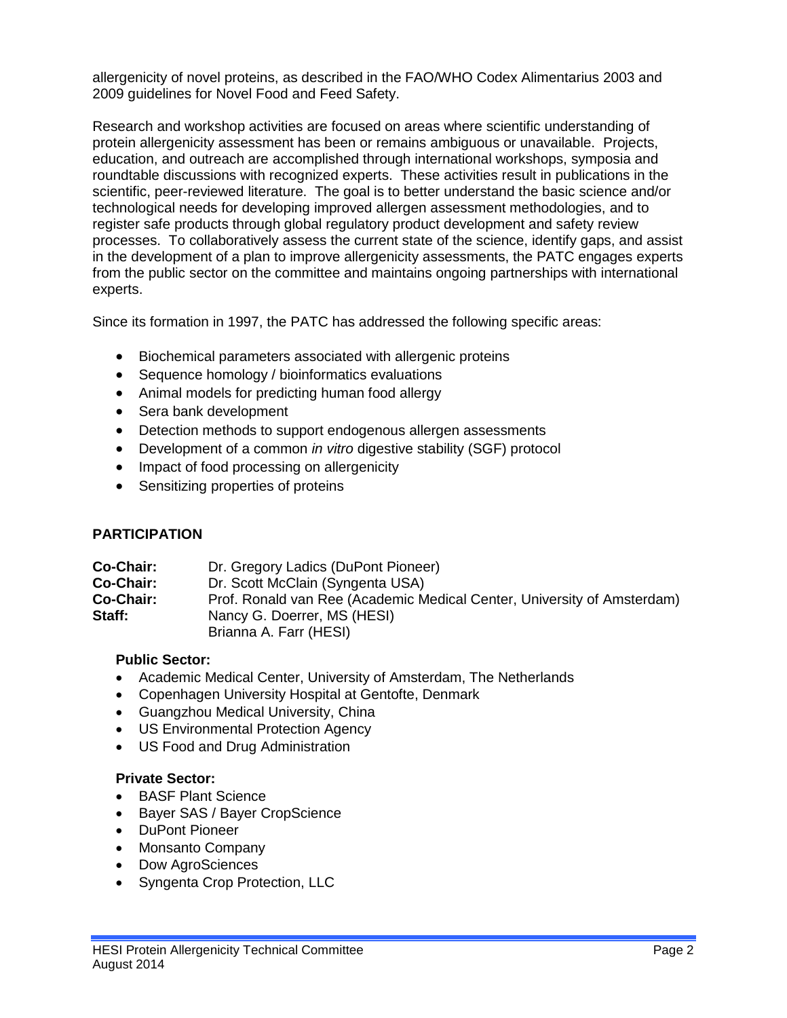allergenicity of novel proteins, as described in the FAO/WHO Codex Alimentarius 2003 and 2009 guidelines for Novel Food and Feed Safety.

Research and workshop activities are focused on areas where scientific understanding of protein allergenicity assessment has been or remains ambiguous or unavailable. Projects, education, and outreach are accomplished through international workshops, symposia and roundtable discussions with recognized experts. These activities result in publications in the scientific, peer-reviewed literature. The goal is to better understand the basic science and/or technological needs for developing improved allergen assessment methodologies, and to register safe products through global regulatory product development and safety review processes. To collaboratively assess the current state of the science, identify gaps, and assist in the development of a plan to improve allergenicity assessments, the PATC engages experts from the public sector on the committee and maintains ongoing partnerships with international experts.

Since its formation in 1997, the PATC has addressed the following specific areas:

- Biochemical parameters associated with allergenic proteins
- Sequence homology / bioinformatics evaluations
- Animal models for predicting human food allergy
- Sera bank development
- Detection methods to support endogenous allergen assessments
- Development of a common *in vitro* digestive stability (SGF) protocol
- Impact of food processing on allergenicity
- Sensitizing properties of proteins

### **PARTICIPATION**

| <b>Co-Chair:</b> | Dr. Gregory Ladics (DuPont Pioneer)                                     |
|------------------|-------------------------------------------------------------------------|
| Co-Chair:        | Dr. Scott McClain (Syngenta USA)                                        |
| Co-Chair:        | Prof. Ronald van Ree (Academic Medical Center, University of Amsterdam) |
| Staff:           | Nancy G. Doerrer, MS (HESI)                                             |
|                  | Brianna A. Farr (HESI)                                                  |

### **Public Sector:**

- Academic Medical Center, University of Amsterdam, The Netherlands
- Copenhagen University Hospital at Gentofte, Denmark
- Guangzhou Medical University, China
- US Environmental Protection Agency
- US Food and Drug Administration

### **Private Sector:**

- BASF Plant Science
- Bayer SAS / Bayer CropScience
- DuPont Pioneer
- Monsanto Company
- Dow AgroSciences
- Syngenta Crop Protection, LLC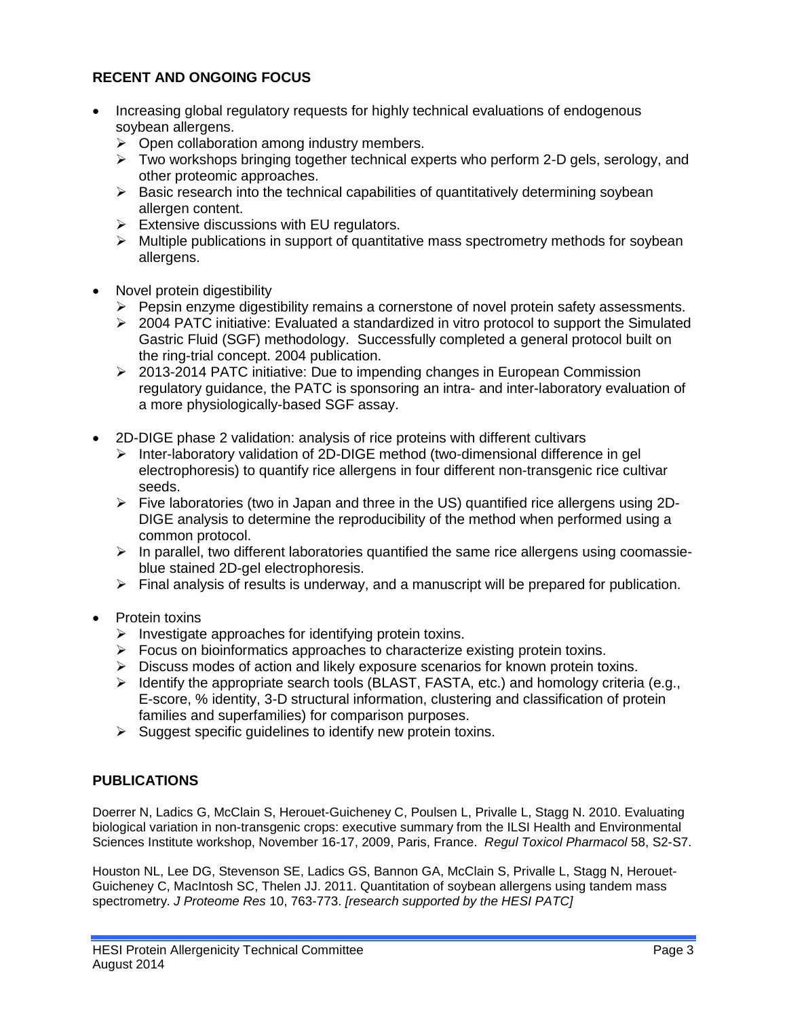# **RECENT AND ONGOING FOCUS**

- Increasing global regulatory requests for highly technical evaluations of endogenous soybean allergens.
	- $\triangleright$  Open collaboration among industry members.
	- $\triangleright$  Two workshops bringing together technical experts who perform 2-D gels, serology, and other proteomic approaches.
	- $\triangleright$  Basic research into the technical capabilities of quantitatively determining soybean allergen content.
	- $\triangleright$  Extensive discussions with EU regulators.
	- $\triangleright$  Multiple publications in support of quantitative mass spectrometry methods for soybean allergens.
- Novel protein digestibility
	- $\triangleright$  Pepsin enzyme digestibility remains a cornerstone of novel protein safety assessments.
	- $\geq$  2004 PATC initiative: Evaluated a standardized in vitro protocol to support the Simulated Gastric Fluid (SGF) methodology. Successfully completed a general protocol built on the ring-trial concept. 2004 publication.
	- $\geq$  2013-2014 PATC initiative: Due to impending changes in European Commission regulatory guidance, the PATC is sponsoring an intra- and inter-laboratory evaluation of a more physiologically-based SGF assay.
- 2D-DIGE phase 2 validation: analysis of rice proteins with different cultivars
	- Inter-laboratory validation of 2D-DIGE method (two-dimensional difference in gel electrophoresis) to quantify rice allergens in four different non-transgenic rice cultivar seeds.
	- $\triangleright$  Five laboratories (two in Japan and three in the US) quantified rice allergens using 2D-DIGE analysis to determine the reproducibility of the method when performed using a common protocol.
	- $\triangleright$  In parallel, two different laboratories quantified the same rice allergens using coomassieblue stained 2D-gel electrophoresis.
	- $\triangleright$  Final analysis of results is underway, and a manuscript will be prepared for publication.
- Protein toxins
	- $\triangleright$  Investigate approaches for identifying protein toxins.
	- $\triangleright$  Focus on bioinformatics approaches to characterize existing protein toxins.
	- $\triangleright$  Discuss modes of action and likely exposure scenarios for known protein toxins.
	- $\triangleright$  Identify the appropriate search tools (BLAST, FASTA, etc.) and homology criteria (e.g., E-score, % identity, 3-D structural information, clustering and classification of protein families and superfamilies) for comparison purposes.
	- $\triangleright$  Suggest specific guidelines to identify new protein toxins.

### **PUBLICATIONS**

Doerrer N, Ladics G, McClain S, Herouet-Guicheney C, Poulsen L, Privalle L, Stagg N. 2010. Evaluating biological variation in non-transgenic crops: executive summary from the ILSI Health and Environmental Sciences Institute workshop, November 16-17, 2009, Paris, France. *Regul Toxicol Pharmacol* 58, S2-S7.

Houston NL, Lee DG, Stevenson SE, Ladics GS, Bannon GA, McClain S, Privalle L, Stagg N, Herouet-Guicheney C, MacIntosh SC, Thelen JJ. 2011. Quantitation of soybean allergens using tandem mass spectrometry. *J Proteome Res* 10, 763-773. *[research supported by the HESI PATC]*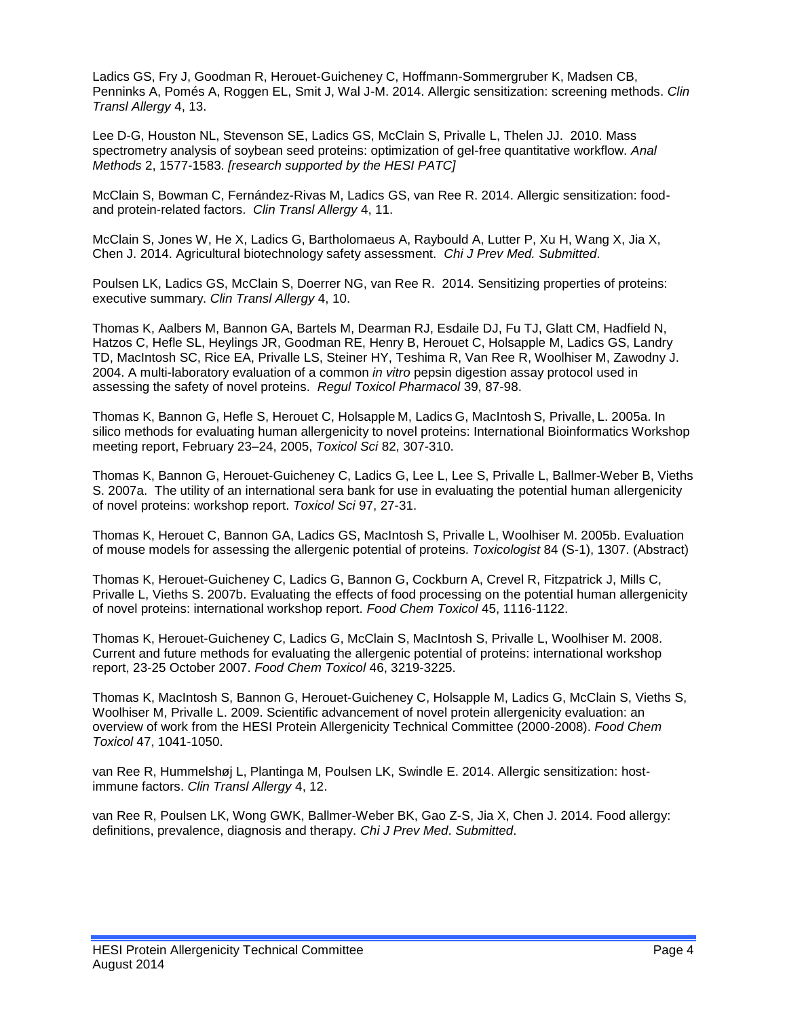Ladics GS, Fry J, Goodman R, Herouet-Guicheney C, Hoffmann-Sommergruber K, Madsen CB, Penninks A, Pomés A, Roggen EL, Smit J, Wal J-M. 2014. Allergic sensitization: screening methods. *Clin Transl Allergy* 4, 13.

Lee D-G, Houston NL, Stevenson SE, Ladics GS, McClain S, Privalle L, Thelen JJ. 2010. Mass spectrometry analysis of soybean seed proteins: optimization of gel-free quantitative workflow. *Anal Methods* 2, 1577-1583. *[research supported by the HESI PATC]*

McClain S, Bowman C, Fernández-Rivas M, Ladics GS, van Ree R. 2014. Allergic sensitization: foodand protein-related factors. *Clin Transl Allergy* 4, 11.

McClain S, Jones W, He X, Ladics G, Bartholomaeus A, Raybould A, Lutter P, Xu H, Wang X, Jia X, Chen J. 2014. Agricultural biotechnology safety assessment. *Chi J Prev Med. Submitted*.

Poulsen LK, Ladics GS, McClain S, Doerrer NG, van Ree R. 2014. Sensitizing properties of proteins: executive summary. *Clin Transl Allergy* 4, 10.

Thomas K, Aalbers M, Bannon GA, Bartels M, Dearman RJ, Esdaile DJ, Fu TJ, Glatt CM, Hadfield N, Hatzos C, Hefle SL, Heylings JR, Goodman RE, Henry B, Herouet C, Holsapple M, Ladics GS, Landry TD, MacIntosh SC, Rice EA, Privalle LS, Steiner HY, Teshima R, Van Ree R, Woolhiser M, Zawodny J. 2004. A multi-laboratory evaluation of a common *in vitro* pepsin digestion assay protocol used in assessing the safety of novel proteins. *Regul Toxicol Pharmacol* 39, 87-98.

Thomas K, Bannon G, Hefle S, Herouet C, Holsapple M, Ladics G, MacIntosh S, Privalle, L. 2005a. In silico methods for evaluating human allergenicity to novel proteins: International Bioinformatics Workshop meeting report, February 23–24, 2005, *Toxicol Sci* 82, 307-310.

Thomas K, Bannon G, Herouet-Guicheney C, Ladics G, Lee L, Lee S, Privalle L, Ballmer-Weber B, Vieths S. 2007a. The utility of an international sera bank for use in evaluating the potential human allergenicity of novel proteins: workshop report. *Toxicol Sci* 97, 27-31.

Thomas K, Herouet C, Bannon GA, Ladics GS, MacIntosh S, Privalle L, Woolhiser M. 2005b. Evaluation of mouse models for assessing the allergenic potential of proteins. *Toxicologist* 84 (S-1), 1307. (Abstract)

Thomas K, Herouet-Guicheney C, Ladics G, Bannon G, Cockburn A, Crevel R, Fitzpatrick J, Mills C, Privalle L, Vieths S. 2007b. Evaluating the effects of food processing on the potential human allergenicity of novel proteins: international workshop report. *Food Chem Toxicol* 45, 1116-1122.

Thomas K, Herouet-Guicheney C, Ladics G, McClain S, MacIntosh S, Privalle L, Woolhiser M. 2008. Current and future methods for evaluating the allergenic potential of proteins: international workshop report, 23-25 October 2007. *Food Chem Toxicol* 46, 3219-3225.

Thomas K, MacIntosh S, Bannon G, Herouet-Guicheney C, Holsapple M, Ladics G, McClain S, Vieths S, Woolhiser M, Privalle L. 2009. Scientific advancement of novel protein allergenicity evaluation: an overview of work from the HESI Protein Allergenicity Technical Committee (2000-2008). *Food Chem Toxicol* 47, 1041-1050.

van Ree R, Hummelshøj L, Plantinga M, Poulsen LK, Swindle E. 2014. Allergic sensitization: hostimmune factors. *Clin Transl Allergy* 4, 12.

van Ree R, Poulsen LK, Wong GWK, Ballmer-Weber BK, Gao Z-S, Jia X, Chen J. 2014. Food allergy: definitions, prevalence, diagnosis and therapy. *Chi J Prev Med*. *Submitted*.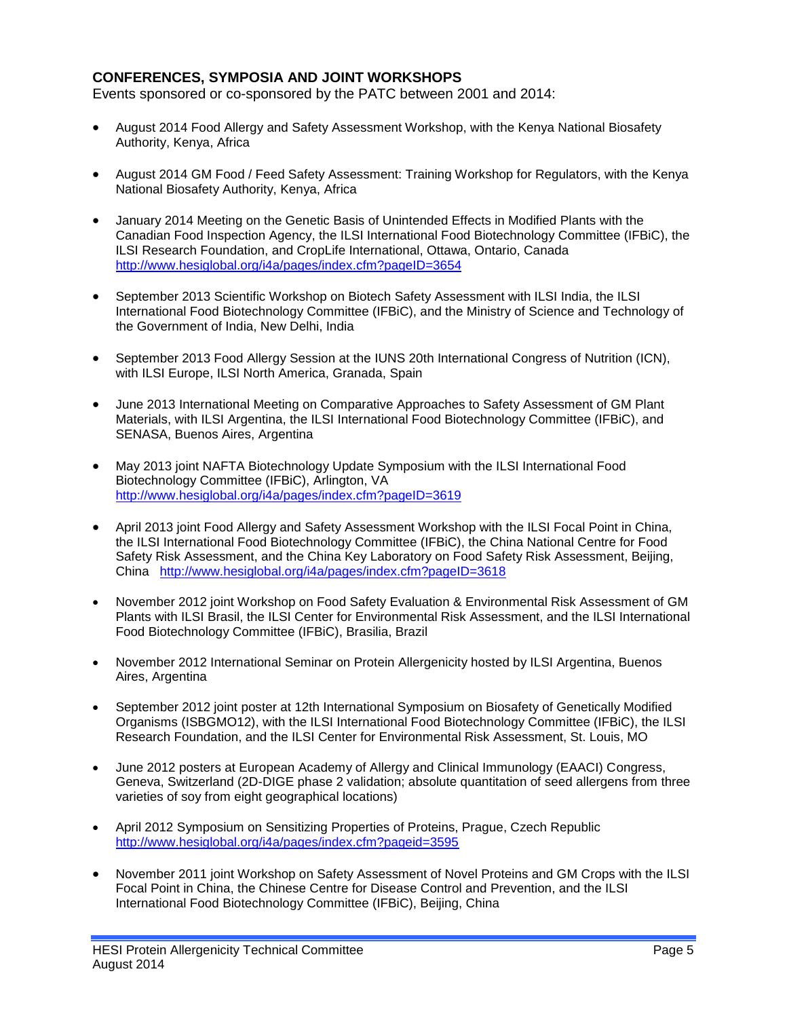### **CONFERENCES, SYMPOSIA AND JOINT WORKSHOPS**

Events sponsored or co-sponsored by the PATC between 2001 and 2014:

- August 2014 Food Allergy and Safety Assessment Workshop, with the Kenya National Biosafety Authority, Kenya, Africa
- August 2014 GM Food / Feed Safety Assessment: Training Workshop for Regulators, with the Kenya National Biosafety Authority, Kenya, Africa
- January 2014 Meeting on the Genetic Basis of Unintended Effects in Modified Plants with the Canadian Food Inspection Agency, the ILSI International Food Biotechnology Committee (IFBiC), the ILSI Research Foundation, and CropLife International, Ottawa, Ontario, Canada <http://www.hesiglobal.org/i4a/pages/index.cfm?pageID=3654>
- September 2013 Scientific Workshop on Biotech Safety Assessment with ILSI India, the ILSI International Food Biotechnology Committee (IFBiC), and the Ministry of Science and Technology of the Government of India, New Delhi, India
- September 2013 Food Allergy Session at the IUNS 20th International Congress of Nutrition (ICN), with ILSI Europe, ILSI North America, Granada, Spain
- June 2013 International Meeting on Comparative Approaches to Safety Assessment of GM Plant Materials, with ILSI Argentina, the ILSI International Food Biotechnology Committee (IFBiC), and SENASA, Buenos Aires, Argentina
- May 2013 joint NAFTA Biotechnology Update Symposium with the ILSI International Food Biotechnology Committee (IFBiC), Arlington, VA <http://www.hesiglobal.org/i4a/pages/index.cfm?pageID=3619>
- April 2013 joint Food Allergy and Safety Assessment Workshop with the ILSI Focal Point in China, the ILSI International Food Biotechnology Committee (IFBiC), the China National Centre for Food Safety Risk Assessment, and the China Key Laboratory on Food Safety Risk Assessment, Beijing, China <http://www.hesiglobal.org/i4a/pages/index.cfm?pageID=3618>
- November 2012 joint Workshop on Food Safety Evaluation & Environmental Risk Assessment of GM Plants with ILSI Brasil, the ILSI Center for Environmental Risk Assessment, and the ILSI International Food Biotechnology Committee (IFBiC), Brasilia, Brazil
- November 2012 International Seminar on Protein Allergenicity hosted by ILSI Argentina, Buenos Aires, Argentina
- September 2012 joint poster at 12th International Symposium on Biosafety of Genetically Modified Organisms (ISBGMO12), with the ILSI International Food Biotechnology Committee (IFBiC), the ILSI Research Foundation, and the ILSI Center for Environmental Risk Assessment, St. Louis, MO
- June 2012 posters at European Academy of Allergy and Clinical Immunology (EAACI) Congress, Geneva, Switzerland (2D-DIGE phase 2 validation; absolute quantitation of seed allergens from three varieties of soy from eight geographical locations)
- April 2012 Symposium on Sensitizing Properties of Proteins, Prague, Czech Republic <http://www.hesiglobal.org/i4a/pages/index.cfm?pageid=3595>
- November 2011 joint Workshop on Safety Assessment of Novel Proteins and GM Crops with the ILSI Focal Point in China, the Chinese Centre for Disease Control and Prevention, and the ILSI International Food Biotechnology Committee (IFBiC), Beijing, China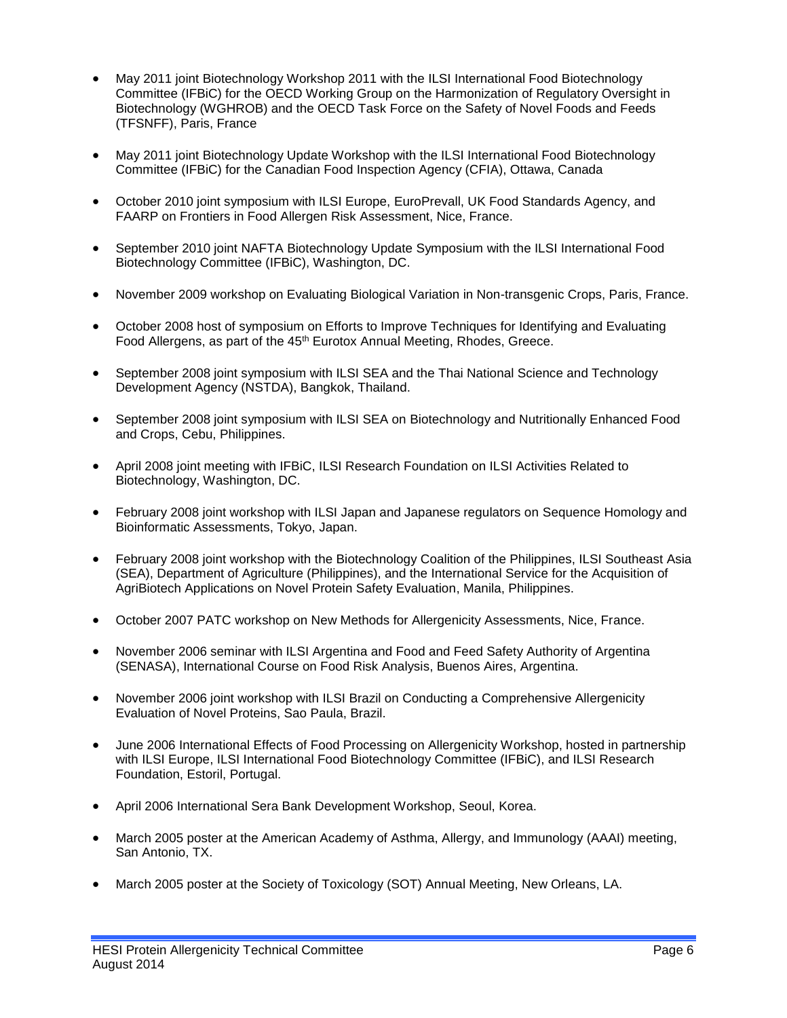- May 2011 joint Biotechnology Workshop 2011 with the ILSI International Food Biotechnology Committee (IFBiC) for the OECD Working Group on the Harmonization of Regulatory Oversight in Biotechnology (WGHROB) and the OECD Task Force on the Safety of Novel Foods and Feeds (TFSNFF), Paris, France
- May 2011 joint Biotechnology Update Workshop with the ILSI International Food Biotechnology Committee (IFBiC) for the Canadian Food Inspection Agency (CFIA), Ottawa, Canada
- October 2010 joint symposium with ILSI Europe, EuroPrevall, UK Food Standards Agency, and FAARP on Frontiers in Food Allergen Risk Assessment, Nice, France.
- September 2010 joint NAFTA Biotechnology Update Symposium with the ILSI International Food Biotechnology Committee (IFBiC), Washington, DC.
- November 2009 workshop on Evaluating Biological Variation in Non-transgenic Crops, Paris, France.
- October 2008 host of symposium on Efforts to Improve Techniques for Identifying and Evaluating Food Allergens, as part of the 45<sup>th</sup> Eurotox Annual Meeting, Rhodes, Greece.
- September 2008 joint symposium with ILSI SEA and the Thai National Science and Technology Development Agency (NSTDA), Bangkok, Thailand.
- September 2008 joint symposium with ILSI SEA on Biotechnology and Nutritionally Enhanced Food and Crops, Cebu, Philippines.
- April 2008 joint meeting with IFBiC, ILSI Research Foundation on ILSI Activities Related to Biotechnology, Washington, DC.
- February 2008 joint workshop with ILSI Japan and Japanese regulators on Sequence Homology and Bioinformatic Assessments, Tokyo, Japan.
- February 2008 joint workshop with the Biotechnology Coalition of the Philippines, ILSI Southeast Asia (SEA), Department of Agriculture (Philippines), and the International Service for the Acquisition of AgriBiotech Applications on Novel Protein Safety Evaluation, Manila, Philippines.
- October 2007 PATC workshop on New Methods for Allergenicity Assessments, Nice, France.
- November 2006 seminar with ILSI Argentina and Food and Feed Safety Authority of Argentina (SENASA), International Course on Food Risk Analysis, Buenos Aires, Argentina.
- November 2006 joint workshop with ILSI Brazil on Conducting a Comprehensive Allergenicity Evaluation of Novel Proteins, Sao Paula, Brazil.
- June 2006 International Effects of Food Processing on Allergenicity Workshop, hosted in partnership with ILSI Europe, ILSI International Food Biotechnology Committee (IFBiC), and ILSI Research Foundation, Estoril, Portugal.
- April 2006 International Sera Bank Development Workshop, Seoul, Korea.
- March 2005 poster at the American Academy of Asthma, Allergy, and Immunology (AAAI) meeting, San Antonio, TX.
- March 2005 poster at the Society of Toxicology (SOT) Annual Meeting, New Orleans, LA.